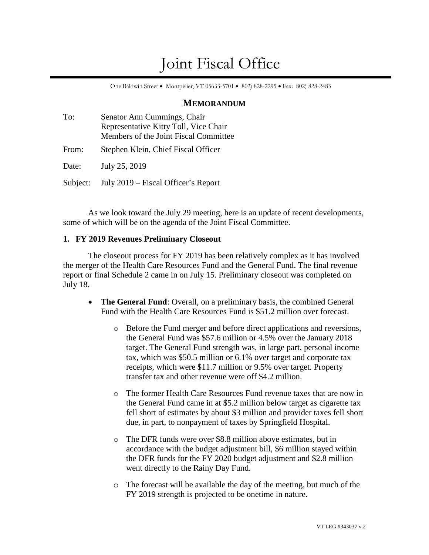# Joint Fiscal Office

One Baldwin Street • Montpelier, VT 05633-5701 • 802) 828-2295 • Fax: 802) 828-2483

# **MEMORANDUM**

| To:      | Senator Ann Cummings, Chair<br>Representative Kitty Toll, Vice Chair<br>Members of the Joint Fiscal Committee |
|----------|---------------------------------------------------------------------------------------------------------------|
| From:    | Stephen Klein, Chief Fiscal Officer                                                                           |
| Date:    | July 25, 2019                                                                                                 |
| Subject: | July 2019 – Fiscal Officer's Report                                                                           |

As we look toward the July 29 meeting, here is an update of recent developments, some of which will be on the agenda of the Joint Fiscal Committee.

## **1. FY 2019 Revenues Preliminary Closeout**

The closeout process for FY 2019 has been relatively complex as it has involved the merger of the Health Care Resources Fund and the General Fund. The final revenue report or final Schedule 2 came in on July 15. Preliminary closeout was completed on July 18.

- **The General Fund**: Overall, on a preliminary basis, the combined General Fund with the Health Care Resources Fund is \$51.2 million over forecast.
	- o Before the Fund merger and before direct applications and reversions, the General Fund was \$57.6 million or 4.5% over the January 2018 target. The General Fund strength was, in large part, personal income tax, which was \$50.5 million or 6.1% over target and corporate tax receipts, which were \$11.7 million or 9.5% over target. Property transfer tax and other revenue were off \$4.2 million.
	- o The former Health Care Resources Fund revenue taxes that are now in the General Fund came in at \$5.2 million below target as cigarette tax fell short of estimates by about \$3 million and provider taxes fell short due, in part, to nonpayment of taxes by Springfield Hospital.
	- o The DFR funds were over \$8.8 million above estimates, but in accordance with the budget adjustment bill, \$6 million stayed within the DFR funds for the FY 2020 budget adjustment and \$2.8 million went directly to the Rainy Day Fund.
	- o The forecast will be available the day of the meeting, but much of the FY 2019 strength is projected to be onetime in nature.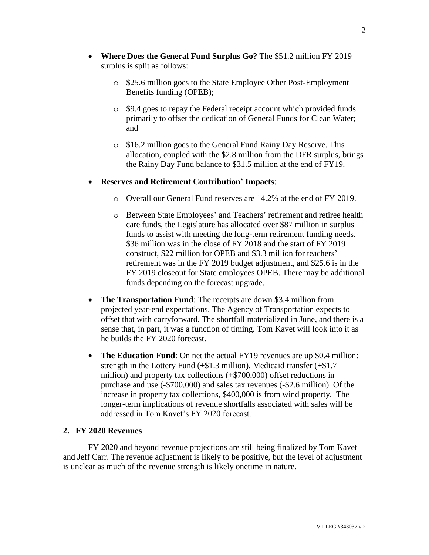- **Where Does the General Fund Surplus Go?** The \$51.2 million FY 2019 surplus is split as follows:
	- o \$25.6 million goes to the State Employee Other Post-Employment Benefits funding (OPEB);
	- o \$9.4 goes to repay the Federal receipt account which provided funds primarily to offset the dedication of General Funds for Clean Water; and
	- o \$16.2 million goes to the General Fund Rainy Day Reserve. This allocation, coupled with the \$2.8 million from the DFR surplus, brings the Rainy Day Fund balance to \$31.5 million at the end of FY19.

## • **Reserves and Retirement Contribution' Impacts**:

- o Overall our General Fund reserves are 14.2% at the end of FY 2019.
- o Between State Employees' and Teachers' retirement and retiree health care funds, the Legislature has allocated over \$87 million in surplus funds to assist with meeting the long-term retirement funding needs. \$36 million was in the close of FY 2018 and the start of FY 2019 construct, \$22 million for OPEB and \$3.3 million for teachers' retirement was in the FY 2019 budget adjustment, and \$25.6 is in the FY 2019 closeout for State employees OPEB. There may be additional funds depending on the forecast upgrade.
- **The Transportation Fund**: The receipts are down \$3.4 million from projected year-end expectations. The Agency of Transportation expects to offset that with carryforward. The shortfall materialized in June, and there is a sense that, in part, it was a function of timing. Tom Kavet will look into it as he builds the FY 2020 forecast.
- **The Education Fund**: On net the actual FY19 revenues are up \$0.4 million: strength in the Lottery Fund  $(+\$1.3$  million), Medicaid transfer  $(+\$1.7)$ million) and property tax collections (+\$700,000) offset reductions in purchase and use (-\$700,000) and sales tax revenues (-\$2.6 million). Of the increase in property tax collections, \$400,000 is from wind property. The longer-term implications of revenue shortfalls associated with sales will be addressed in Tom Kavet's FY 2020 forecast.

## **2. FY 2020 Revenues**

FY 2020 and beyond revenue projections are still being finalized by Tom Kavet and Jeff Carr. The revenue adjustment is likely to be positive, but the level of adjustment is unclear as much of the revenue strength is likely onetime in nature.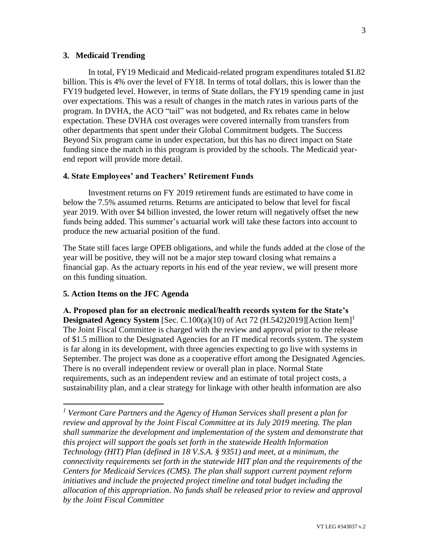#### **3. Medicaid Trending**

In total, FY19 Medicaid and Medicaid-related program expenditures totaled \$1.82 billion. This is 4% over the level of FY18. In terms of total dollars, this is lower than the FY19 budgeted level. However, in terms of State dollars, the FY19 spending came in just over expectations. This was a result of changes in the match rates in various parts of the program. In DVHA, the ACO "tail" was not budgeted, and Rx rebates came in below expectation. These DVHA cost overages were covered internally from transfers from other departments that spent under their Global Commitment budgets. The Success Beyond Six program came in under expectation, but this has no direct impact on State funding since the match in this program is provided by the schools. The Medicaid yearend report will provide more detail.

#### **4. State Employees' and Teachers' Retirement Funds**

Investment returns on FY 2019 retirement funds are estimated to have come in below the 7.5% assumed returns. Returns are anticipated to below that level for fiscal year 2019. With over \$4 billion invested, the lower return will negatively offset the new funds being added. This summer's actuarial work will take these factors into account to produce the new actuarial position of the fund.

The State still faces large OPEB obligations, and while the funds added at the close of the year will be positive, they will not be a major step toward closing what remains a financial gap. As the actuary reports in his end of the year review, we will present more on this funding situation.

#### **5. Action Items on the JFC Agenda**

 $\overline{a}$ 

**A. Proposed plan for an electronic medical/health records system for the State's Designated Agency System** [Sec. C.100(a)(10) of Act 72 (H.542)2019][Action Item]<sup>1</sup> The Joint Fiscal Committee is charged with the review and approval prior to the release of \$1.5 million to the Designated Agencies for an IT medical records system. The system is far along in its development, with three agencies expecting to go live with systems in September. The project was done as a cooperative effort among the Designated Agencies. There is no overall independent review or overall plan in place. Normal State requirements, such as an independent review and an estimate of total project costs, a sustainability plan, and a clear strategy for linkage with other health information are also

*<sup>1</sup> Vermont Care Partners and the Agency of Human Services shall present a plan for review and approval by the Joint Fiscal Committee at its July 2019 meeting. The plan shall summarize the development and implementation of the system and demonstrate that this project will support the goals set forth in the statewide Health Information Technology (HIT) Plan (defined in 18 V.S.A. § 9351) and meet, at a minimum, the connectivity requirements set forth in the statewide HIT plan and the requirements of the Centers for Medicaid Services (CMS). The plan shall support current payment reform initiatives and include the projected project timeline and total budget including the allocation of this appropriation. No funds shall be released prior to review and approval by the Joint Fiscal Committee*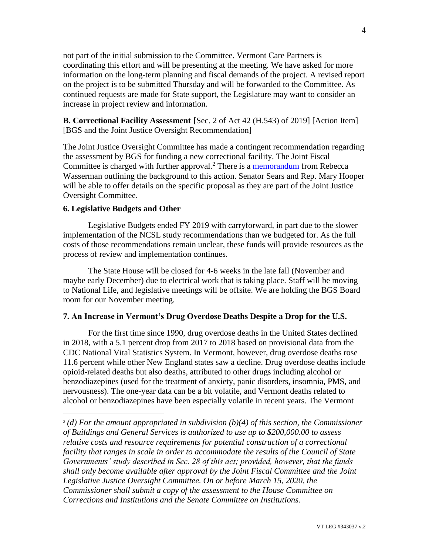not part of the initial submission to the Committee. Vermont Care Partners is coordinating this effort and will be presenting at the meeting. We have asked for more information on the long-term planning and fiscal demands of the project. A revised report on the project is to be submitted Thursday and will be forwarded to the Committee. As continued requests are made for State support, the Legislature may want to consider an increase in project review and information.

## **B. Correctional Facility Assessment** [Sec. 2 of Act 42 (H.543) of 2019] [Action Item] [BGS and the Joint Justice Oversight Recommendation]

The Joint Justice Oversight Committee has made a contingent recommendation regarding the assessment by BGS for funding a new correctional facility. The Joint Fiscal Committee is charged with further approval.<sup>2</sup> There is a [memorandum](https://ljfo.vermont.gov/assets/Meetings/Joint-Fiscal-Committee/2019-07-29/72a99702d2/JFC-memo-Correctional-facility-study-July-2019-002.pdf) from Rebecca Wasserman outlining the background to this action. Senator Sears and Rep. Mary Hooper will be able to offer details on the specific proposal as they are part of the Joint Justice Oversight Committee.

#### **6. Legislative Budgets and Other**

 $\overline{a}$ 

Legislative Budgets ended FY 2019 with carryforward, in part due to the slower implementation of the NCSL study recommendations than we budgeted for. As the full costs of those recommendations remain unclear, these funds will provide resources as the process of review and implementation continues.

The State House will be closed for 4-6 weeks in the late fall (November and maybe early December) due to electrical work that is taking place. Staff will be moving to National Life, and legislative meetings will be offsite. We are holding the BGS Board room for our November meeting.

#### **7. An Increase in Vermont's Drug Overdose Deaths Despite a Drop for the U.S.**

For the first time since 1990, drug overdose deaths in the United States declined in 2018, with a 5.1 percent drop from 2017 to 2018 based on provisional data from the CDC National Vital Statistics System. In Vermont, however, drug overdose deaths rose 11.6 percent while other New England states saw a decline. Drug overdose deaths include opioid-related deaths but also deaths, attributed to other drugs including alcohol or benzodiazepines (used for the treatment of anxiety, panic disorders, insomnia, PMS, and nervousness). The one-year data can be a bit volatile, and Vermont deaths related to alcohol or benzodiazepines have been especially volatile in recent years. The Vermont

<sup>&</sup>lt;sup>2</sup>(d) For the amount appropriated in subdivision (b)(4) of this section, the Commissioner *of Buildings and General Services is authorized to use up to \$200,000.00 to assess relative costs and resource requirements for potential construction of a correctional facility that ranges in scale in order to accommodate the results of the Council of State Governments' study described in Sec. 28 of this act; provided, however, that the funds shall only become available after approval by the Joint Fiscal Committee and the Joint Legislative Justice Oversight Committee. On or before March 15, 2020, the Commissioner shall submit a copy of the assessment to the House Committee on Corrections and Institutions and the Senate Committee on Institutions.*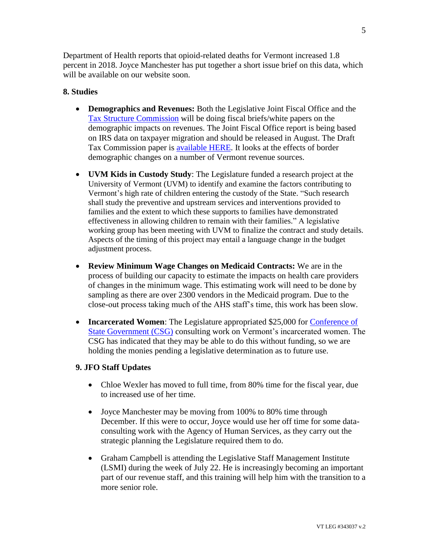Department of Health reports that opioid-related deaths for Vermont increased 1.8 percent in 2018. Joyce Manchester has put together a short issue brief on this data, which will be available on our website soon.

# **8. Studies**

- **Demographics and Revenues:** Both the Legislative Joint Fiscal Office and the [Tax Structure Commission](https://ljfo.vermont.gov/committees-and-studies/tax-structure-commission) will be doing fiscal briefs/white papers on the demographic impacts on revenues. The Joint Fiscal Office report is being based on IRS data on taxpayer migration and should be released in August. The Draft Tax Commission paper is [available HERE.](https://ljfo.vermont.gov/assets/Meetings/Tax-Structure-Commission/2019-07-24/7be201cea3/Demographics-Stability-and-Change.pdf) It looks at the effects of border demographic changes on a number of Vermont revenue sources.
- **UVM Kids in Custody Study**: The Legislature funded a research project at the University of Vermont (UVM) to identify and examine the factors contributing to Vermont's high rate of children entering the custody of the State. "Such research shall study the preventive and upstream services and interventions provided to families and the extent to which these supports to families have demonstrated effectiveness in allowing children to remain with their families." A legislative working group has been meeting with UVM to finalize the contract and study details. Aspects of the timing of this project may entail a language change in the budget adjustment process.
- **Review Minimum Wage Changes on Medicaid Contracts:** We are in the process of building our capacity to estimate the impacts on health care providers of changes in the minimum wage. This estimating work will need to be done by sampling as there are over 2300 vendors in the Medicaid program. Due to the close-out process taking much of the AHS staff's time, this work has been slow.
- **Incarcerated Women**: The Legislature appropriated \$25,000 for Conference of [State Government \(CSG\)](https://www.csg.org/) consulting work on Vermont's incarcerated women. The CSG has indicated that they may be able to do this without funding, so we are holding the monies pending a legislative determination as to future use.

## **9. JFO Staff Updates**

- Chloe Wexler has moved to full time, from 80% time for the fiscal year, due to increased use of her time.
- Joyce Manchester may be moving from 100% to 80% time through December. If this were to occur, Joyce would use her off time for some dataconsulting work with the Agency of Human Services, as they carry out the strategic planning the Legislature required them to do.
- Graham Campbell is attending the Legislative Staff Management Institute (LSMI) during the week of July 22. He is increasingly becoming an important part of our revenue staff, and this training will help him with the transition to a more senior role.